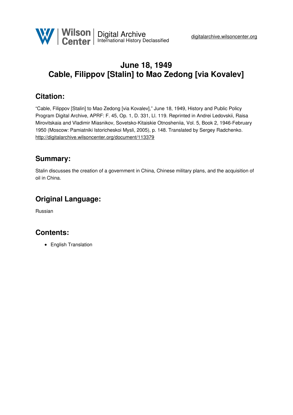

# **June 18, 1949 Cable, Filippov [Stalin] to Mao Zedong [via Kovalev]**

### **Citation:**

"Cable, Filippov [Stalin] to Mao Zedong [via Kovalev]," June 18, 1949, History and Public Policy Program Digital Archive, APRF: F. 45, Op. 1, D. 331, Ll. 119. Reprinted in Andrei Ledovskii, Raisa Mirovitskaia and Vladimir Miasnikov, Sovetsko-Kitaiskie Otnosheniia, Vol. 5, Book 2, 1946-February 1950 (Moscow: Pamiatniki Istoricheskoi Mysli, 2005), p. 148. Translated by Sergey Radchenko. <http://digitalarchive.wilsoncenter.org/document/113379>

#### **Summary:**

Stalin discusses the creation of a government in China, Chinese military plans, and the acquisition of oil in China.

## **Original Language:**

Russian

## **Contents:**

• English Translation